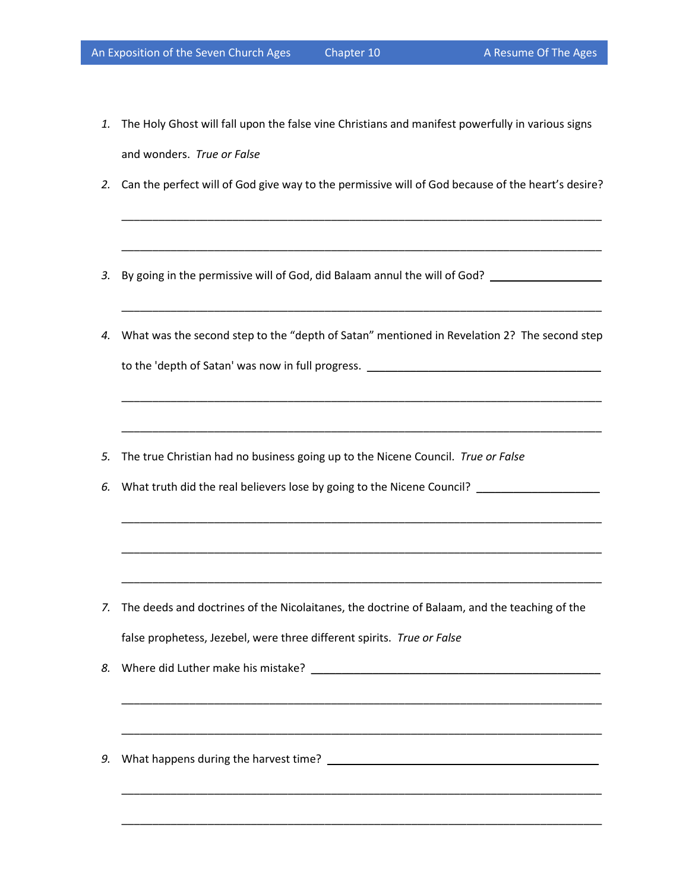- *1.* The Holy Ghost will fall upon the false vine Christians and manifest powerfully in various signs and wonders. *True or False*
- *2.* Can the perfect will of God give way to the permissive will of God because of the heart's desire?

\_\_\_\_\_\_\_\_\_\_\_\_\_\_\_\_\_\_\_\_\_\_\_\_\_\_\_\_\_\_\_\_\_\_\_\_\_\_\_\_\_\_\_\_\_\_\_\_\_\_\_\_\_\_\_\_\_\_\_\_\_\_\_\_\_\_\_\_\_\_\_\_\_\_\_\_\_\_

\_\_\_\_\_\_\_\_\_\_\_\_\_\_\_\_\_\_\_\_\_\_\_\_\_\_\_\_\_\_\_\_\_\_\_\_\_\_\_\_\_\_\_\_\_\_\_\_\_\_\_\_\_\_\_\_\_\_\_\_\_\_\_\_\_\_\_\_\_\_\_\_\_\_\_\_\_\_

\_\_\_\_\_\_\_\_\_\_\_\_\_\_\_\_\_\_\_\_\_\_\_\_\_\_\_\_\_\_\_\_\_\_\_\_\_\_\_\_\_\_\_\_\_\_\_\_\_\_\_\_\_\_\_\_\_\_\_\_\_\_\_\_\_\_\_\_\_\_\_\_\_\_\_\_\_\_

\_\_\_\_\_\_\_\_\_\_\_\_\_\_\_\_\_\_\_\_\_\_\_\_\_\_\_\_\_\_\_\_\_\_\_\_\_\_\_\_\_\_\_\_\_\_\_\_\_\_\_\_\_\_\_\_\_\_\_\_\_\_\_\_\_\_\_\_\_\_\_\_\_\_\_\_\_\_

\_\_\_\_\_\_\_\_\_\_\_\_\_\_\_\_\_\_\_\_\_\_\_\_\_\_\_\_\_\_\_\_\_\_\_\_\_\_\_\_\_\_\_\_\_\_\_\_\_\_\_\_\_\_\_\_\_\_\_\_\_\_\_\_\_\_\_\_\_\_\_\_\_\_\_\_\_\_

\_\_\_\_\_\_\_\_\_\_\_\_\_\_\_\_\_\_\_\_\_\_\_\_\_\_\_\_\_\_\_\_\_\_\_\_\_\_\_\_\_\_\_\_\_\_\_\_\_\_\_\_\_\_\_\_\_\_\_\_\_\_\_\_\_\_\_\_\_\_\_\_\_\_\_\_\_\_

\_\_\_\_\_\_\_\_\_\_\_\_\_\_\_\_\_\_\_\_\_\_\_\_\_\_\_\_\_\_\_\_\_\_\_\_\_\_\_\_\_\_\_\_\_\_\_\_\_\_\_\_\_\_\_\_\_\_\_\_\_\_\_\_\_\_\_\_\_\_\_\_\_\_\_\_\_\_

\_\_\_\_\_\_\_\_\_\_\_\_\_\_\_\_\_\_\_\_\_\_\_\_\_\_\_\_\_\_\_\_\_\_\_\_\_\_\_\_\_\_\_\_\_\_\_\_\_\_\_\_\_\_\_\_\_\_\_\_\_\_\_\_\_\_\_\_\_\_\_\_\_\_\_\_\_\_

\_\_\_\_\_\_\_\_\_\_\_\_\_\_\_\_\_\_\_\_\_\_\_\_\_\_\_\_\_\_\_\_\_\_\_\_\_\_\_\_\_\_\_\_\_\_\_\_\_\_\_\_\_\_\_\_\_\_\_\_\_\_\_\_\_\_\_\_\_\_\_\_\_\_\_\_\_\_

\_\_\_\_\_\_\_\_\_\_\_\_\_\_\_\_\_\_\_\_\_\_\_\_\_\_\_\_\_\_\_\_\_\_\_\_\_\_\_\_\_\_\_\_\_\_\_\_\_\_\_\_\_\_\_\_\_\_\_\_\_\_\_\_\_\_\_\_\_\_\_\_\_\_\_\_\_\_

\_\_\_\_\_\_\_\_\_\_\_\_\_\_\_\_\_\_\_\_\_\_\_\_\_\_\_\_\_\_\_\_\_\_\_\_\_\_\_\_\_\_\_\_\_\_\_\_\_\_\_\_\_\_\_\_\_\_\_\_\_\_\_\_\_\_\_\_\_\_\_\_\_\_\_\_\_\_

\_\_\_\_\_\_\_\_\_\_\_\_\_\_\_\_\_\_\_\_\_\_\_\_\_\_\_\_\_\_\_\_\_\_\_\_\_\_\_\_\_\_\_\_\_\_\_\_\_\_\_\_\_\_\_\_\_\_\_\_\_\_\_\_\_\_\_\_\_\_\_\_\_\_\_\_\_\_

- 3. By going in the permissive will of God, did Balaam annul the will of God? \_\_\_\_\_\_\_\_\_\_\_\_\_\_\_\_\_\_\_\_\_\_\_
- *4.* What was the second step to the "depth of Satan" mentioned in Revelation 2? The second step to the 'depth of Satan' was now in full progress.
- *5.* The true Christian had no business going up to the Nicene Council. *True or False*
- *6.* What truth did the real believers lose by going to the Nicene Council? \_\_\_\_\_\_\_\_\_\_\_\_\_\_\_\_\_\_\_\_

- *7.* The deeds and doctrines of the Nicolaitanes, the doctrine of Balaam, and the teaching of the false prophetess, Jezebel, were three different spirits. *True or False*
- *8.* Where did Luther make his mistake? \_\_\_\_\_\_\_\_\_\_\_\_\_\_\_\_\_\_\_\_\_\_\_\_\_\_\_\_\_\_\_\_\_\_\_\_\_\_\_\_\_\_\_\_\_\_\_
- *9.* What happens during the harvest time? \_\_\_\_\_\_\_\_\_\_\_\_\_\_\_\_\_\_\_\_\_\_\_\_\_\_\_\_\_\_\_\_\_\_\_\_\_\_\_\_\_\_\_\_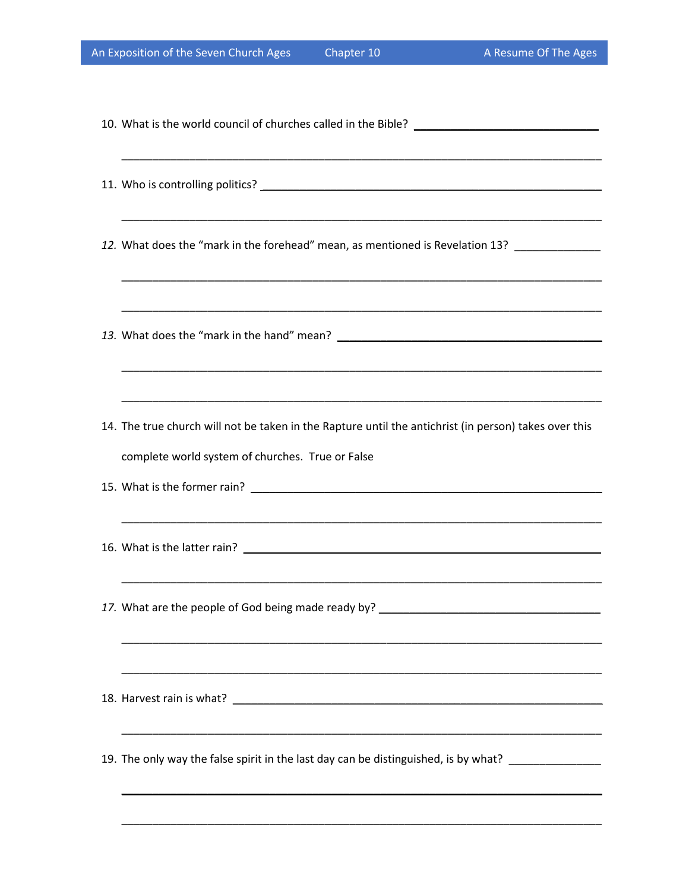| 12. What does the "mark in the forehead" mean, as mentioned is Revelation 13? _______________                                                             |
|-----------------------------------------------------------------------------------------------------------------------------------------------------------|
|                                                                                                                                                           |
| 14. The true church will not be taken in the Rapture until the antichrist (in person) takes over this<br>complete world system of churches. True or False |
|                                                                                                                                                           |
|                                                                                                                                                           |
| 17. What are the people of God being made ready by? ____________________________                                                                          |
|                                                                                                                                                           |
| 19. The only way the false spirit in the last day can be distinguished, is by what? _______________                                                       |